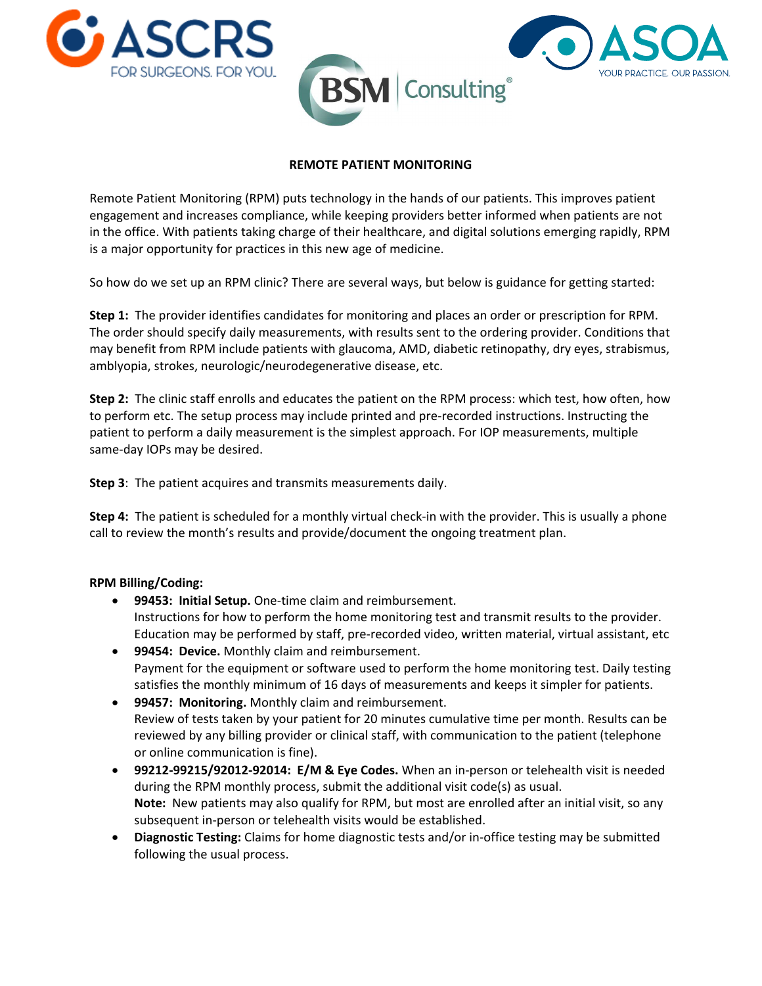



# **REMOTE PATIENT MONITORING**

Remote Patient Monitoring (RPM) puts technology in the hands of our patients. This improves patient engagement and increases compliance, while keeping providers better informed when patients are not in the office. With patients taking charge of their healthcare, and digital solutions emerging rapidly, RPM is a major opportunity for practices in this new age of medicine.

So how do we set up an RPM clinic? There are several ways, but below is guidance for getting started:

**Step 1:** The provider identifies candidates for monitoring and places an order or prescription for RPM. The order should specify daily measurements, with results sent to the ordering provider. Conditions that may benefit from RPM include patients with glaucoma, AMD, diabetic retinopathy, dry eyes, strabismus, amblyopia, strokes, neurologic/neurodegenerative disease, etc.

**Step 2:** The clinic staff enrolls and educates the patient on the RPM process: which test, how often, how to perform etc. The setup process may include printed and pre-recorded instructions. Instructing the patient to perform a daily measurement is the simplest approach. For IOP measurements, multiple same-day IOPs may be desired.

**Step 3**: The patient acquires and transmits measurements daily.

**Step 4:** The patient is scheduled for a monthly virtual check-in with the provider. This is usually a phone call to review the month's results and provide/document the ongoing treatment plan.

## **RPM Billing/Coding:**

- **99453: Initial Setup.** One-time claim and reimbursement. Instructions for how to perform the home monitoring test and transmit results to the provider. Education may be performed by staff, pre-recorded video, written material, virtual assistant, etc
- **99454: Device.** Monthly claim and reimbursement. Payment for the equipment or software used to perform the home monitoring test. Daily testing satisfies the monthly minimum of 16 days of measurements and keeps it simpler for patients.
- **99457: Monitoring.** Monthly claim and reimbursement. Review of tests taken by your patient for 20 minutes cumulative time per month. Results can be reviewed by any billing provider or clinical staff, with communication to the patient (telephone or online communication is fine).
- **99212-99215/92012-92014: E/M & Eye Codes.** When an in-person or telehealth visit is needed during the RPM monthly process, submit the additional visit code(s) as usual. **Note:** New patients may also qualify for RPM, but most are enrolled after an initial visit, so any subsequent in-person or telehealth visits would be established.
- **Diagnostic Testing:** Claims for home diagnostic tests and/or in-office testing may be submitted following the usual process.